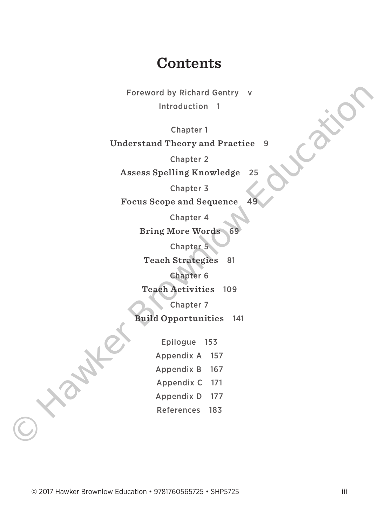# **Contents**

Foreword by Richard Gentry v Introduction 1

Chapter 1 **Understand Theory and Practice** 9

Chapter 2

**Assess Spelling Knowledge** 25

Chapter 3

**Focus Scope and Sequence** 

Chapter 4

**Bring More Words** 

Chapter 5

**Teach Strategies** 81

Chapter 6

**Teach Activities** 109

Chapter 7

**Build Opportunities** 141

Epilogue 153 Appendix A 157 Appendix B 167 Appendix C 171 Appendix D 177 References 183 Foreword by Richard Gentry<br>
Introduction 1<br>
Chapter 1<br>
Understand Theory and Practice 9<br>
Chapter 2<br>
Assess Spelling Knowledge 25<br>
Chapter 3<br>
Focus Scope and Sequence<br>
Chapter 4<br>
Frig More Words 69<br>
Chapter 4<br>
Chapter 4<br>
Te

© 2017 Hawker Brownlow Education • 9781760565725 • SHP5725 iii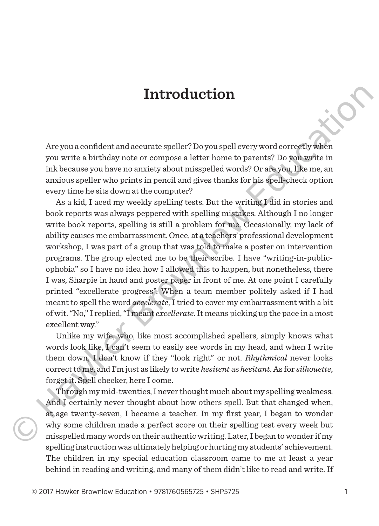Are you a confident and accurate speller? Do you spell every word correctly when you write a birthday note or compose a letter home to parents? Do you write in ink because you have no anxiety about misspelled words? Or are you, like me, an anxious speller who prints in pencil and gives thanks for his spell-check option every time he sits down at the computer?

As a kid, I aced my weekly spelling tests. But the writing I did in stories and book reports was always peppered with spelling mistakes. Although I no longer write book reports, spelling is still a problem for me. Occasionally, my lack of ability causes me embarrassment. Once, at a teachers' professional development workshop, I was part of a group that was told to make a poster on intervention programs. The group elected me to be their scribe. I have "writing-in-publicophobia" so I have no idea how I allowed this to happen, but nonetheless, there I was, Sharpie in hand and poster paper in front of me. At one point I carefully printed "excellerate progress". When a team member politely asked if I had meant to spell the word *accelerate*, I tried to cover my embarrassment with a bit of wit. "No," I replied, "I meant *excellerate*. It means picking up the pace in a most excellent way." **Introduction**<br>
Are you a conflident and accurate speller? Do you spelle every word correctly when<br>
you write a hirthday note or compose a letter home to parents? Do you, write in<br>
ink because you have no accurate you hav

Unlike my wife, who, like most accomplished spellers, simply knows what words look like, I can't seem to easily see words in my head, and when I write them down, I don't know if they "look right" or not. *Rhythmical* never looks correct to me, and I'm just as likely to write *hesitent* as *hesitant*. As for *silhouette*, forget it. Spell checker, here I come.

Through my mid-twenties, I never thought much about my spelling weakness. And I certainly never thought about how others spell. But that changed when, at age twenty-seven, I became a teacher. In my first year, I began to wonder why some children made a perfect score on their spelling test every week but misspelled many words on their authentic writing. Later, I began to wonder if my spelling instruction was ultimately helping or hurting my students' achievement. The children in my special education classroom came to me at least a year behind in reading and writing, and many of them didn't like to read and write. If

© 2017 Hawker Brownlow Education • 9781760565725 • SHP5725 1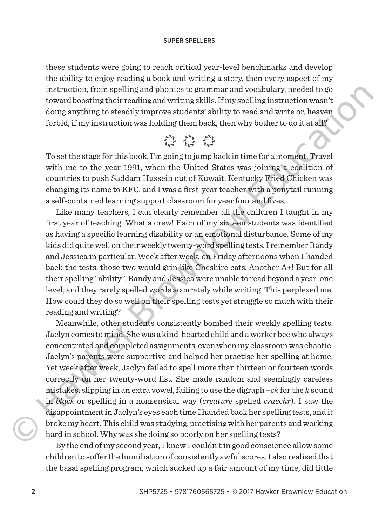#### SUPER SPELLERS

these students were going to reach critical year-level benchmarks and develop the ability to enjoy reading a book and writing a story, then every aspect of my instruction, from spelling and phonics to grammar and vocabulary, needed to go toward boosting their reading and writing skills. If my spelling instruction wasn't doing anything to steadily improve students' ability to read and write or, heaven forbid, if my instruction was holding them back, then why bother to do it at all?

To set the stage for this book, I'm going to jump back in time for a moment. Travel with me to the year 1991, when the United States was joining a coalition of countries to push Saddam Hussein out of Kuwait, Kentucky Fried Chicken was changing its name to KFC, and I was a first-year teacher with a ponytail running a self-contained learning support classroom for year four and fives.

Like many teachers, I can clearly remember all the children I taught in my first year of teaching. What a crew! Each of my sixteen students was identified as having a specific learning disability or an emotional disturbance. Some of my kids did quite well on their weekly twenty-word spelling tests. I remember Randy and Jessica in particular. Week after week, on Friday afternoons when I handed back the tests, those two would grin like Cheshire cats. Another A+! But for all their spelling "ability", Randy and Jessica were unable to read beyond a year-one level, and they rarely spelled words accurately while writing. This perplexed me. How could they do so well on their spelling tests yet struggle so much with their reading and writing?

Meanwhile, other students consistently bombed their weekly spelling tests. Jaclyn comes to mind. She was a kind-hearted child and a worker bee who always concentrated and completed assignments, even when my classroom was chaotic. Jaclyn's parents were supportive and helped her practise her spelling at home. Yet week after week, Jaclyn failed to spell more than thirteen or fourteen words correctly on her twenty-word list. She made random and seemingly careless mistakes, slipping in an extra vowel, failing to use the digraph –*ck* for the *k* sound in *black* or spelling in a nonsensical way (*creature* spelled *craechr*). I saw the disappointment in Jaclyn's eyes each time I handed back her spelling tests, and it broke my heart. This child was studying, practising with her parents and working hard in school. Why was she doing so poorly on her spelling tests? maturetion, those playing and points to guadramical and weakanaly, nearest to the security that reading and wirting skills. If my spelling instruction was relations to the security the metallity in prove student is abilit

By the end of my second year, I knew I couldn't in good conscience allow some children to suffer the humiliation of consistently awful scores. I also realised that the basal spelling program, which sucked up a fair amount of my time, did little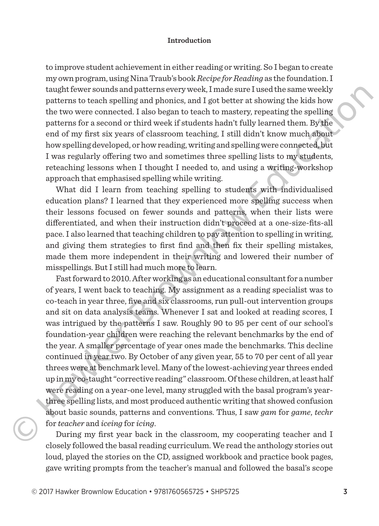to improve student achievement in either reading or writing. So I began to create my own program, using Nina Traub's book *Recipe for Reading* as the foundation. I taught fewer sounds and patterns every week, I made sure I used the same weekly patterns to teach spelling and phonics, and I got better at showing the kids how the two were connected. I also began to teach to mastery, repeating the spelling patterns for a second or third week if students hadn't fully learned them. By the end of my first six years of classroom teaching, I still didn't know much about how spelling developed, or how reading, writing and spelling were connected, but I was regularly offering two and sometimes three spelling lists to my students, reteaching lessons when I thought I needed to, and using a writing-workshop approach that emphasised spelling while writing.

What did I learn from teaching spelling to students with individualised education plans? I learned that they experienced more spelling success when their lessons focused on fewer sounds and patterns, when their lists were differentiated, and when their instruction didn't proceed at a one-size-fits-all pace. I also learned that teaching children to pay attention to spelling in writing, and giving them strategies to first find and then fix their spelling mistakes, made them more independent in their writing and lowered their number of misspellings. But I still had much more to learn.

Fast forward to 2010. After working as an educational consultant for a number of years, I went back to teaching. My assignment as a reading specialist was to co-teach in year three, five and six classrooms, run pull-out intervention groups and sit on data analysis teams. Whenever I sat and looked at reading scores, I was intrigued by the patterns I saw. Roughly 90 to 95 per cent of our school's foundation-year children were reaching the relevant benchmarks by the end of the year. A smaller percentage of year ones made the benchmarks. This decline continued in year two. By October of any given year, 55 to 70 per cent of all year threes were at benchmark level. Many of the lowest-achieving year threes ended up in my co-taught "corrective reading" classroom. Of these children, at least half were reading on a year-one level, many struggled with the basal program's yearthree spelling lists, and most produced authentic writing that showed confusion about basic sounds, patterns and conventions. Thus, I saw *gam* for *game*, *techr* for *teacher* and *iceing* for *icing*. and the southas all quentifies is vector. In<br>an exact the solution shall paral phonics, and II got better at showing the kids how<br>the two were connected. Talso hogan to teach to master, repositing the spelling<br>matterns fo

During my first year back in the classroom, my cooperating teacher and I closely followed the basal reading curriculum. We read the anthology stories out loud, played the stories on the CD, assigned workbook and practice book pages, gave writing prompts from the teacher's manual and followed the basal's scope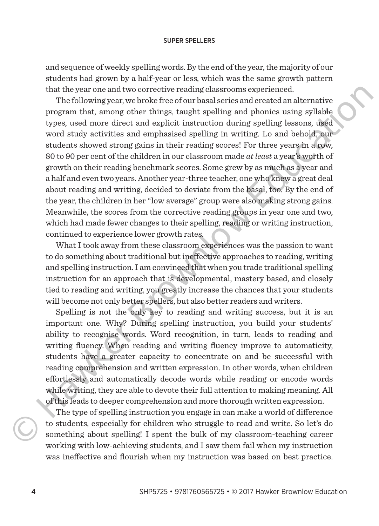#### SUPER SPELLERS

and sequence of weekly spelling words. By the end of the year, the majority of our students had grown by a half-year or less, which was the same growth pattern that the year one and two corrective reading classrooms experienced.

The following year, we broke free of our basal series and created an alternative program that, among other things, taught spelling and phonics using syllable types, used more direct and explicit instruction during spelling lessons, used word study activities and emphasised spelling in writing. Lo and behold, our students showed strong gains in their reading scores! For three years in a row, 80 to 90 per cent of the children in our classroom made *at least* a year's worth of growth on their reading benchmark scores. Some grew by as much as a year and a half and even two years. Another year-three teacher, one who knew a great deal about reading and writing, decided to deviate from the basal, too. By the end of the year, the children in her "low average" group were also making strong gains. Meanwhile, the scores from the corrective reading groups in year one and two, which had made fewer changes to their spelling, reading or writing instruction, continued to experience lower growth rates. that the year one and two corrective resulting can<br>soroting the solution and the year of the following year, we broke<br>free of our basal series and created an alternative program that, among other things, taught spelling a

What I took away from these classroom experiences was the passion to want to do something about traditional but ineffective approaches to reading, writing and spelling instruction. I am convinced that when you trade traditional spelling instruction for an approach that is developmental, mastery based, and closely tied to reading and writing, you greatly increase the chances that your students will become not only better spellers, but also better readers and writers.

Spelling is not the only key to reading and writing success, but it is an important one. Why? During spelling instruction, you build your students' ability to recognise words. Word recognition, in turn, leads to reading and writing fluency. When reading and writing fluency improve to automaticity, students have a greater capacity to concentrate on and be successful with reading comprehension and written expression. In other words, when children effortlessly and automatically decode words while reading or encode words while writing, they are able to devote their full attention to making meaning. All of this leads to deeper comprehension and more thorough written expression.

The type of spelling instruction you engage in can make a world of difference to students, especially for children who struggle to read and write. So let's do something about spelling! I spent the bulk of my classroom-teaching career working with low-achieving students, and I saw them fail when my instruction  $\bigodot$  to so was ineffective and flourish when my instruction was based on best practice.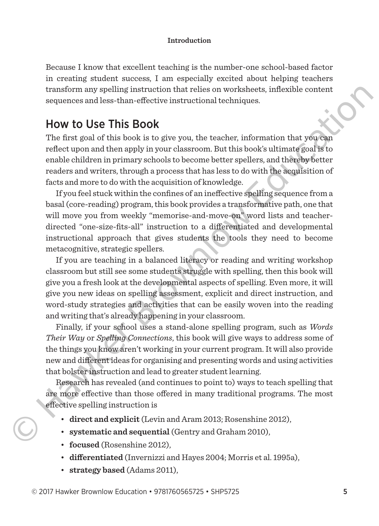Because I know that excellent teaching is the number-one school-based factor in creating student success, I am especially excited about helping teachers transform any spelling instruction that relies on worksheets, inflexible content sequences and less-than-effective instructional techniques.

## How to Use This Book

The first goal of this book is to give you, the teacher, information that you can reflect upon and then apply in your classroom. But this book's ultimate goal is to enable children in primary schools to become better spellers, and thereby better readers and writers, through a process that has less to do with the acquisition of facts and more to do with the acquisition of knowledge.

If you feel stuck within the confines of an ineffective spelling sequence from a basal (core-reading) program, this book provides a transformative path, one that will move you from weekly "memorise-and-move-on" word lists and teacherdirected "one-size-fits-all" instruction to a differentiated and developmental instructional approach that gives students the tools they need to become metacognitive, strategic spellers.

If you are teaching in a balanced literacy or reading and writing workshop classroom but still see some students struggle with spelling, then this book will give you a fresh look at the developmental aspects of spelling. Even more, it will give you new ideas on spelling assessment, explicit and direct instruction, and word-study strategies and activities that can be easily woven into the reading and writing that's already happening in your classroom. massion may spent in states of the steading than the selection that selects on works also the selective instructional technics.<br>
How to Use This Book is to give you, the teacher, information that you<br>has reflected to this

Finally, if your school uses a stand-alone spelling program, such as *Words Their Way* or *Spelling Connections*, this book will give ways to address some of the things you know aren't working in your current program. It will also provide new and different ideas for organising and presenting words and using activities that bolster instruction and lead to greater student learning.

Research has revealed (and continues to point to) ways to teach spelling that are more effective than those offered in many traditional programs. The most effective spelling instruction is

- **direct and explicit** (Levin and Aram 2013; Rosenshine 2012),
- **systematic and sequential** (Gentry and Graham 2010),
- **focused** (Rosenshine 2012),
- **differentiated** (Invernizzi and Hayes 2004; Morris et al. 1995a),
- **strategy based** (Adams 2011),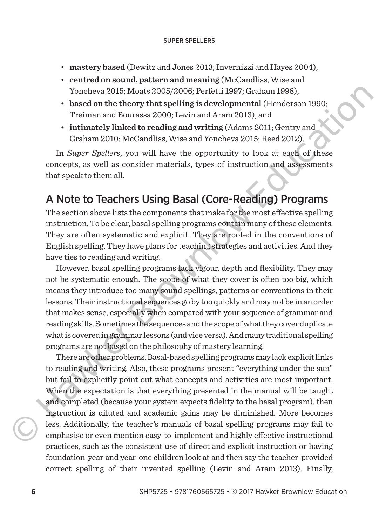- **mastery based** (Dewitz and Jones 2013; Invernizzi and Hayes 2004),
- **centred on sound, pattern and meaning** (McCandliss, Wise and Yoncheva 2015; Moats 2005/2006; Perfetti 1997; Graham 1998),
- **based on the theory that spelling is developmental** (Henderson 1990; Treiman and Bourassa 2000; Levin and Aram 2013), and
- **intimately linked to reading and writing** (Adams 2011; Gentry and Graham 2010; McCandliss, Wise and Yoncheva 2015; Reed 2012).

In *Super Spellers*, you will have the opportunity to look at each of these concepts, as well as consider materials, types of instruction and assessments that speak to them all.

## A Note to Teachers Using Basal (Core-Reading) Programs

The section above lists the components that make for the most effective spelling instruction. To be clear, basal spelling programs contain many of these elements. They are often systematic and explicit. They are rooted in the conventions of English spelling. They have plans for teaching strategies and activities. And they have ties to reading and writing.

However, basal spelling programs lack vigour, depth and flexibility. They may not be systematic enough. The scope of what they cover is often too big, which means they introduce too many sound spellings, patterns or conventions in their lessons. Their instructional sequences go by too quickly and may not be in an order that makes sense, especially when compared with your sequence of grammar and reading skills. Sometimes the sequences and the scope of what they cover duplicate what is covered in grammar lessons (and vice versa). And many traditional spelling programs are not based on the philosophy of mastery learning.

There are other problems. Basal-based spelling programs may lack explicit links to reading and writing. Also, these programs present "everything under the sun" but fail to explicitly point out what concepts and activities are most important. When the expectation is that everything presented in the manual will be taught and completed (because your system expects fidelity to the basal program), then instruction is diluted and academic gains may be diminished. More becomes less. Additionally, the teacher's manuals of basal spelling programs may fail to emphasise or even mention easy-to-implement and highly effective instructional practices, such as the consistent use of direct and explicit instruction or having foundation-year and year-one children look at and then say the teacher-provided correct spelling of their invented spelling (Levin and Aram 2013). Finally, volcone 2015; Mostet 2008)/2009; Pertent 1999; Coramn 1999;<br>
valed on the theory that spelling is developmental (Honderson 1990;<br>
Treiman and Bourassa 2000; Levin and Aram 2013), and<br>
inimately linked to reading and wirit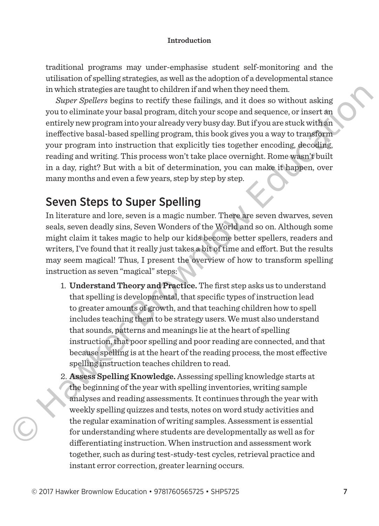traditional programs may under-emphasise student self-monitoring and the utilisation of spelling strategies, as well as the adoption of a developmental stance in which strategies are taught to children if and when they need them.

*Super Spellers* begins to rectify these failings, and it does so without asking you to eliminate your basal program, ditch your scope and sequence, or insert an entirely new program into your already very busy day. But if you are stuck with an ineffective basal-based spelling program, this book gives you a way to transform your program into instruction that explicitly ties together encoding, decoding, reading and writing. This process won't take place overnight. Rome wasn't built in a day, right? But with a bit of determination, you can make it happen, over many months and even a few years, step by step by step. In which stategies are utagitally decominate more incominations of the regional of the region to entirity these finilings, and it does so without asking<br>you to eliminate your to entirity these finilings, and it does so wi

## Seven Steps to Super Spelling

In literature and lore, seven is a magic number. There are seven dwarves, seven seals, seven deadly sins, Seven Wonders of the World and so on. Although some might claim it takes magic to help our kids become better spellers, readers and writers, I've found that it really just takes a bit of time and effort. But the results may seem magical! Thus, I present the overview of how to transform spelling instruction as seven "magical" steps:

- 1. **Understand Theory and Practice.** The first step asks us to understand that spelling is developmental, that specific types of instruction lead to greater amounts of growth, and that teaching children how to spell includes teaching them to be strategy users. We must also understand that sounds, patterns and meanings lie at the heart of spelling instruction, that poor spelling and poor reading are connected, and that because spelling is at the heart of the reading process, the most effective spelling instruction teaches children to read.
- 2. **Assess Spelling Knowledge.** Assessing spelling knowledge starts at the beginning of the year with spelling inventories, writing sample analyses and reading assessments. It continues through the year with weekly spelling quizzes and tests, notes on word study activities and the regular examination of writing samples. Assessment is essential for understanding where students are developmentally as well as for differentiating instruction. When instruction and assessment work together, such as during test-study-test cycles, retrieval practice and instant error correction, greater learning occurs.